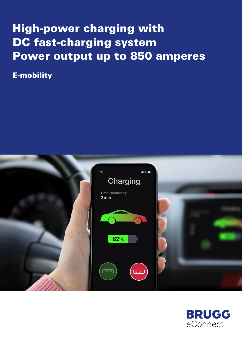# High-power charging with DC fast-charging system Power output up to 850 amperes

E-mobility



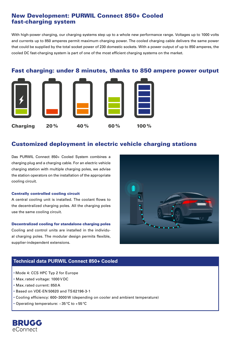# New Development: PURWIL Connect 850+ Cooled fast-charging system

With high-power charging, our charging systems step up to a whole new performance range. Voltages up to 1000 volts and currents up to 850 amperes permit maximum charging power. The cooled charging cable delivers the same power that could be supplied by the total socket power of 230 domestic sockets. With a power output of up to 850 amperes, the cooled DC fast-charging system is part of one of the most efficient charging systems on the market.

## Fast charging: under 8 minutes, thanks to 850 ampere power output



# Customized deployment in electric vehicle charging stations

Das PURWIL Connect 850+ Cooled System combines a charging plug and a charging cable. For an electric vehicle charging station with multiple charging poles, we advise the station operators on the installation of the appropriate cooling circuit.

#### Centrally controlled cooling circuit

A central cooling unit is installed. The coolant flows to the decentralized charging poles. All the charging poles use the same cooling circuit.

#### Decentralized cooling for standalone charging poles

Cooling and control units are installed in the individual charging poles. The modular design permits flexible, supplier-independent extensions.



## **Technical data PURWIL Connect 850+ Cooled**

- Mode 4: CCS HPC Typ 2 for Europe
- Max.rated voltage: 1000V DC
- Max.rated current: 850 A
- Based on VDE-EN 50620 and TS62196-3-1
- Cooling efficiency: 600–3000W (depending on cooler and ambient temperature)
- Operating temperature: −35°C to +55°C

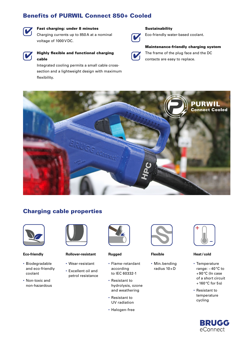# Benefits of PURWIL Connect 850+ Cooled



## Fast charging: under 8 minutes

Charging currents up to 850 A at a nominal voltage of 1000V DC.



## Highly flexible and functional charging cable

Integrated cooling permits a small cable crosssection and a lightweight design with maximum flexibility.



#### **Sustainability**



### Eco-friendly water-based coolant.

Maintenance-friendly charging system

The frame of the plug face and the DC contacts are easy to replace.



# Charging cable properties



**Eco-friendly**

- Biodegradable and eco-friendly coolant
- Non-toxic and non-hazardous



**Rollover-resistant**

- Wear-resistant • Excellent oil and
- petrol resistance



**Rugged**

- Flame-retardant according to IEC 60332-1
- Resistant to hydrolysis, ozone and weathering
- Resistant to UV radiation
- Halogen-free



**Flexible**

• Min.bending radius 10×D



**Heat/cold**

- Temperature range: −40°C to +90°C (In case of a short circuit  $+160$ °C for 5s)
- Resistant to temperature cycling